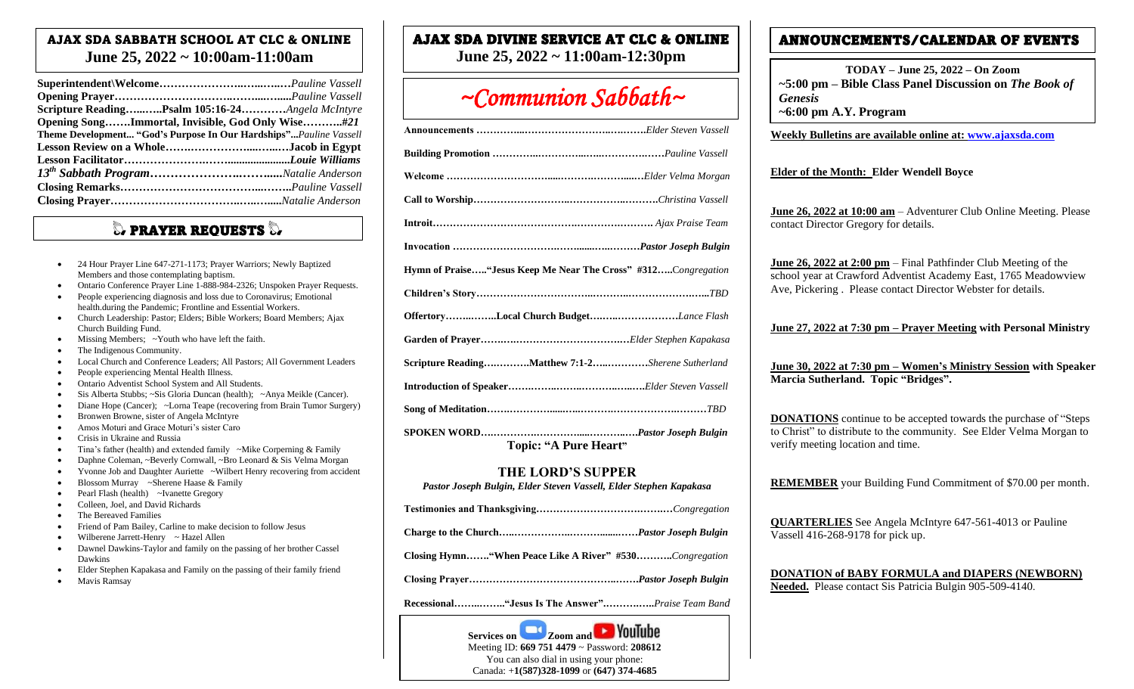## AJAX SDA SABBATH SCHOOL AT CLC & ONLINE **June 25, 2022 ~ 10:00am-11:00am**

| Scripture ReadingPsalm 105:16-24Angela McIntyre                   |  |  |  |  |
|-------------------------------------------------------------------|--|--|--|--|
| Opening SongImmortal, Invisible, God Only Wise#21                 |  |  |  |  |
| Theme Development "God's Purpose In Our Hardships"Pauline Vassell |  |  |  |  |
| Lesson Review on a WholeJacob in Egypt                            |  |  |  |  |
|                                                                   |  |  |  |  |
|                                                                   |  |  |  |  |
|                                                                   |  |  |  |  |
|                                                                   |  |  |  |  |

# $\mathbb Q$  prayer requests  $\mathbb Q$

- 24 Hour Prayer Line 647-271-1173; Prayer Warriors; Newly Baptized Members and those contemplating baptism.
- Ontario Conference Prayer Line 1-888-984-2326; Unspoken Prayer Requests.
- People experiencing diagnosis and loss due to Coronavirus; Emotional health.during the Pandemic; Frontline and Essential Workers.
- Church Leadership: Pastor; Elders; Bible Workers; Board Members; Ajax Church Building Fund.
- Missing Members; ~Youth who have left the faith.
- The Indigenous Community.
- Local Church and Conference Leaders; All Pastors; All Government Leaders
- People experiencing Mental Health Illness.
- Ontario Adventist School System and All Students.
- Sis Alberta Stubbs; ~Sis Gloria Duncan (health); ~Anya Meikle (Cancer).
- Diane Hope (Cancer); ~Lorna Teape (recovering from Brain Tumor Surgery)
- Bronwen Browne, sister of Angela McIntyre
- Amos Moturi and Grace Moturi's sister Caro
- Crisis in Ukraine and Russia
- Tina's father (health) and extended family ~Mike Corperning & Family
- Daphne Coleman, ~Beverly Cornwall, ~Bro Leonard & Sis Velma Morgan
- Yvonne Job and Daughter Auriette ~Wilbert Henry recovering from accident
- Blossom Murray ~Sherene Haase & Family
- Pearl Flash (health) ~Ivanette Gregory
- Colleen, Joel, and David Richards
- The Bereaved Families
- Friend of Pam Bailey, Carline to make decision to follow Jesus
- Wilberene Jarrett-Henry ~ Hazel Allen
- Dawnel Dawkins-Taylor and family on the passing of her brother Cassel Dawkins
- Elder Stephen Kapakasa and Family on the passing of their family friend • Mavis Ramsay

# AJAX SDA DIVINE SERVICE AT CLC & ONLINE

**June 25, 2022 ~ 11:00am-12:30pm**

# *~Communion Sabbath~*

| Hymn of Praise "Jesus Keep Me Near The Cross" #312Congregation |
|----------------------------------------------------------------|
|                                                                |
| OffertoryLocal Church BudgetLance Flash                        |
|                                                                |
| Scripture ReadingMatthew 7:1-2Sherene Sutherland               |
|                                                                |
|                                                                |
|                                                                |

**Topic: "A Pure Heart"**

### **THE LORD'S SUPPER**

*Pastor Joseph Bulgin, Elder Steven Vassell, Elder Stephen Kapakasa*

- **Charge to the Church…..……………..……….......……***Pastor Joseph Bulgin*
- **Closing Hymn……."When Peace Like A River" #530………..***Congregation*
- **Closing Prayer……………………………………..…….***Pastor Joseph Bulgin*

**Recessional……..…….."Jesus Is The Answer".……….…..***Praise Team Band*

# ANNOUNCEMENTS/CALENDAR OF EVENTS

**TODAY – June 25, 2022 – On Zoom ~5:00 pm – Bible Class Panel Discussion on** *The Book of Genesis* 

**~6:00 pm A.Y. Program** 

**Weekly Bulletins are available online at: [www.ajaxsda.com](http://www.ajaxsda.com/)** 

#### **Elder of the Month: Elder Wendell Boyce**

**June 26, 2022 at 10:00 am** – Adventurer Club Online Meeting. Please contact Director Gregory for details.

**June 26, 2022 at 2:00 pm** – Final Pathfinder Club Meeting of the school year at Crawford Adventist Academy East, 1765 Meadowview Ave, Pickering . Please contact Director Webster for details.

**June 27, 2022 at 7:30 pm – Prayer Meeting with Personal Ministry**

**June 30, 2022 at 7:30 pm – Women's Ministry Session with Speaker Marcia Sutherland. Topic "Bridges".**

**DONATIONS** continue to be accepted towards the purchase of "Steps to Christ" to distribute to the community. See Elder Velma Morgan to verify meeting location and time.

**REMEMBER** your Building Fund Commitment of \$70.00 per month.

**QUARTERLIES** See Angela McIntyre 647-561-4013 or Pauline Vassell 416-268-9178 for pick up.

**DONATION of BABY FORMULA and DIAPERS (NEWBORN) Needed.** Please contact Sis Patricia Bulgin 905-509-4140.